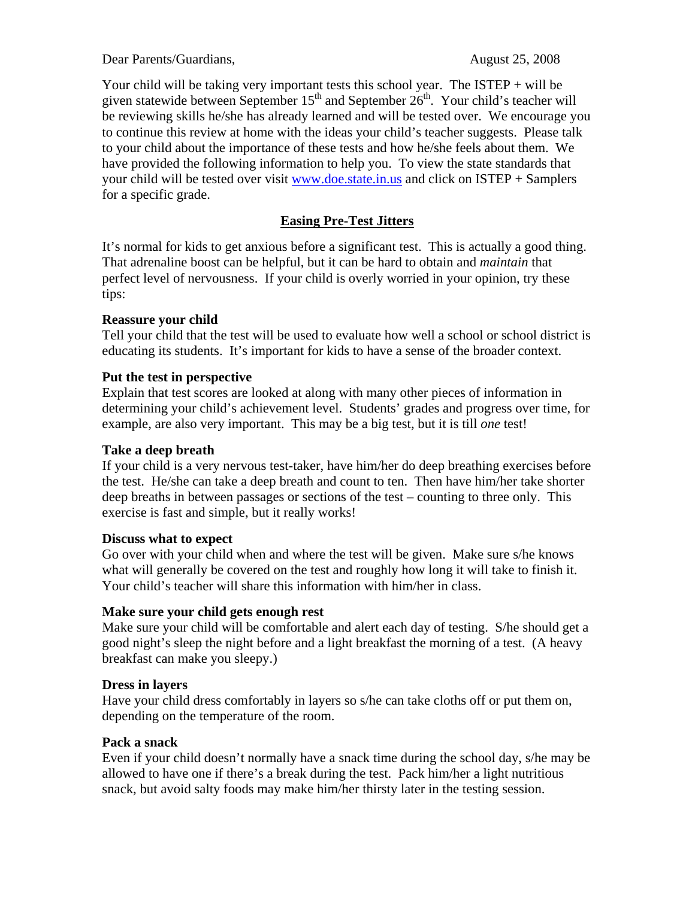Dear Parents/Guardians, August 25, 2008

Your child will be taking very important tests this school year. The  $ISTEP + will$  be given statewide between September  $15<sup>th</sup>$  and September  $26<sup>th</sup>$ . Your child's teacher will be reviewing skills he/she has already learned and will be tested over. We encourage you to continue this review at home with the ideas your child's teacher suggests. Please talk to your child about the importance of these tests and how he/she feels about them. We have provided the following information to help you. To view the state standards that your child will be tested over visit www.doe.state.in.us and click on ISTEP + Samplers for a specific grade.

# **Easing Pre-Test Jitters**

It's normal for kids to get anxious before a significant test. This is actually a good thing. That adrenaline boost can be helpful, but it can be hard to obtain and *maintain* that perfect level of nervousness. If your child is overly worried in your opinion, try these tips:

#### **Reassure your child**

Tell your child that the test will be used to evaluate how well a school or school district is educating its students. It's important for kids to have a sense of the broader context.

#### **Put the test in perspective**

Explain that test scores are looked at along with many other pieces of information in determining your child's achievement level. Students' grades and progress over time, for example, are also very important. This may be a big test, but it is till *one* test!

#### **Take a deep breath**

If your child is a very nervous test-taker, have him/her do deep breathing exercises before the test. He/she can take a deep breath and count to ten. Then have him/her take shorter deep breaths in between passages or sections of the test – counting to three only. This exercise is fast and simple, but it really works!

## **Discuss what to expect**

Go over with your child when and where the test will be given. Make sure s/he knows what will generally be covered on the test and roughly how long it will take to finish it. Your child's teacher will share this information with him/her in class.

## **Make sure your child gets enough rest**

Make sure your child will be comfortable and alert each day of testing. S/he should get a good night's sleep the night before and a light breakfast the morning of a test. (A heavy breakfast can make you sleepy.)

## **Dress in layers**

Have your child dress comfortably in layers so s/he can take cloths off or put them on, depending on the temperature of the room.

## **Pack a snack**

Even if your child doesn't normally have a snack time during the school day, s/he may be allowed to have one if there's a break during the test. Pack him/her a light nutritious snack, but avoid salty foods may make him/her thirsty later in the testing session.